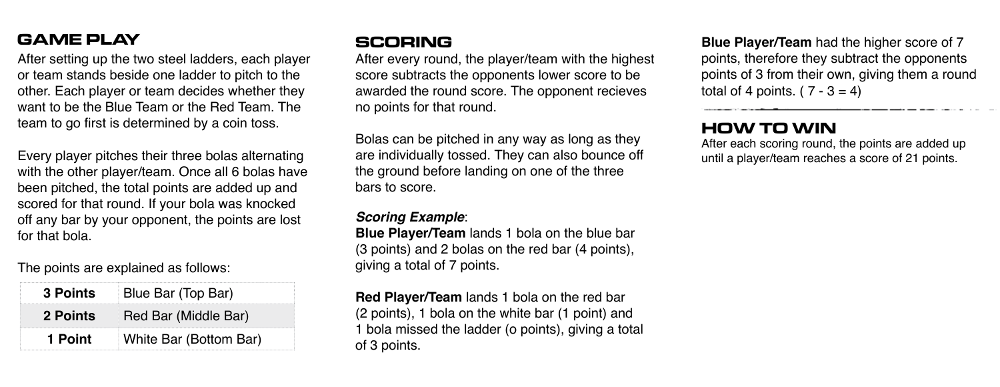## **GAME PLAY**

After setting up the two steel ladders, each player or team stands beside one ladder to pitch to the other. Each player or team decides whether they want to be the Blue Team or the Red Team. The team to go first is determined by a coin toss.

Every player pitches their three bolas alternating with the other player/team. Once all 6 bolas have been pitched, the total points are added up and scored for that round. If your bola was knocked off any bar by your opponent, the points are lost for that bola.

#### The points are explained as follows:

| 3 Points | Blue Bar (Top Bar)     |
|----------|------------------------|
| 2 Points | Red Bar (Middle Bar)   |
| 1 Point  | White Bar (Bottom Bar) |

### **SCORING**

After every round, the player/team with the highest score subtracts the opponents lower score to be awarded the round score. The opponent recieves no points for that round.

Bolas can be pitched in any way as long as they are individually tossed. They can also bounce off the ground before landing on one of the three bars to score.

#### *Scoring Example*:

**Blue Player/Team** lands 1 bola on the blue bar (3 points) and 2 bolas on the red bar (4 points), giving a total of 7 points.

**Red Player/Team** lands 1 bola on the red bar (2 points), 1 bola on the white bar (1 point) and 1 bola missed the ladder (o points), giving a total of 3 points.

**Blue Player/Team** had the higher score of 7 points, therefore they subtract the opponents points of 3 from their own, giving them a round total of 4 points.  $(7 - 3 = 4)$ 

#### **HOW TO WIN**

After each scoring round, the points are added up until a player/team reaches a score of 21 points.